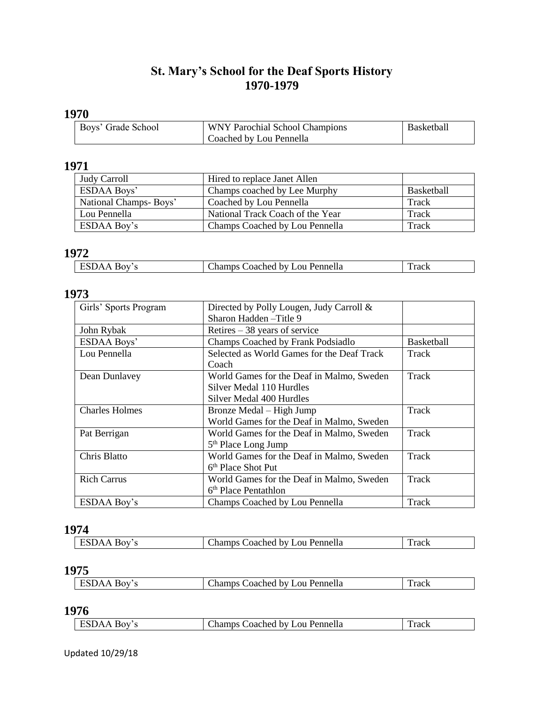## **St. Mary's School for the Deaf Sports History 1970-1979**

## **1970**

| Boys' Grade School | WNY Parochial School Champions | Basketball |
|--------------------|--------------------------------|------------|
|                    | Coached by Lou Pennella        |            |

#### **1971**

| <b>Judy Carroll</b>   | Hired to replace Janet Allen     |            |
|-----------------------|----------------------------------|------------|
| <b>ESDAA Boys'</b>    | Champs coached by Lee Murphy     | Basketball |
| National Champs-Boys' | Coached by Lou Pennella          | Track      |
| Lou Pennella          | National Track Coach of the Year | Track      |
| <b>ESDAA Boy's</b>    | Champs Coached by Lou Pennella   | Track      |

#### **1972**

| Lou Pennella<br>`oached by `<br>$-102$<br>w<br>гтаск<br>------ |  |  |
|----------------------------------------------------------------|--|--|

#### **1973**

| Girls' Sports Program | Directed by Polly Lougen, Judy Carroll &   |                   |
|-----------------------|--------------------------------------------|-------------------|
|                       | Sharon Hadden-Title 9                      |                   |
| John Rybak            | Retires $-38$ years of service             |                   |
| <b>ESDAA Boys'</b>    | Champs Coached by Frank Podsiadlo          | <b>Basketball</b> |
| Lou Pennella          | Selected as World Games for the Deaf Track | Track             |
|                       | Coach                                      |                   |
| Dean Dunlavey         | World Games for the Deaf in Malmo, Sweden  | Track             |
|                       | Silver Medal 110 Hurdles                   |                   |
|                       | Silver Medal 400 Hurdles                   |                   |
| <b>Charles Holmes</b> | Bronze Medal – High Jump                   | Track             |
|                       | World Games for the Deaf in Malmo, Sweden  |                   |
| Pat Berrigan          | World Games for the Deaf in Malmo, Sweden  | Track             |
|                       | $5th$ Place Long Jump                      |                   |
| Chris Blatto          | World Games for the Deaf in Malmo, Sweden  | Track             |
|                       | 6 <sup>th</sup> Place Shot Put             |                   |
| <b>Rich Carrus</b>    | World Games for the Deaf in Malmo, Sweden  | Track             |
|                       | 6 <sup>th</sup> Place Pentathlon           |                   |
| <b>ESDAA Boy's</b>    | Champs Coached by Lou Pennella             | Track             |

## **1974**

| DА<br>≀רא | ' <sub>-</sub> ou Pennella<br>loached by L<br>hamps ' | Track |
|-----------|-------------------------------------------------------|-------|
|           |                                                       |       |

## **1975**

| Pennella<br>$\Omega$<br>$\alpha$<br>hv I<br>$\sqrt{ }$<br>oached:<br>_namps =<br>таск |
|---------------------------------------------------------------------------------------|
|---------------------------------------------------------------------------------------|

**1976**

| ורה:<br>$\mathbf{v}$ | Lou Pennella<br>hv I<br>`oached_<br>المستستعد والمسالا<br>ліат | Fack |
|----------------------|----------------------------------------------------------------|------|
|                      |                                                                |      |